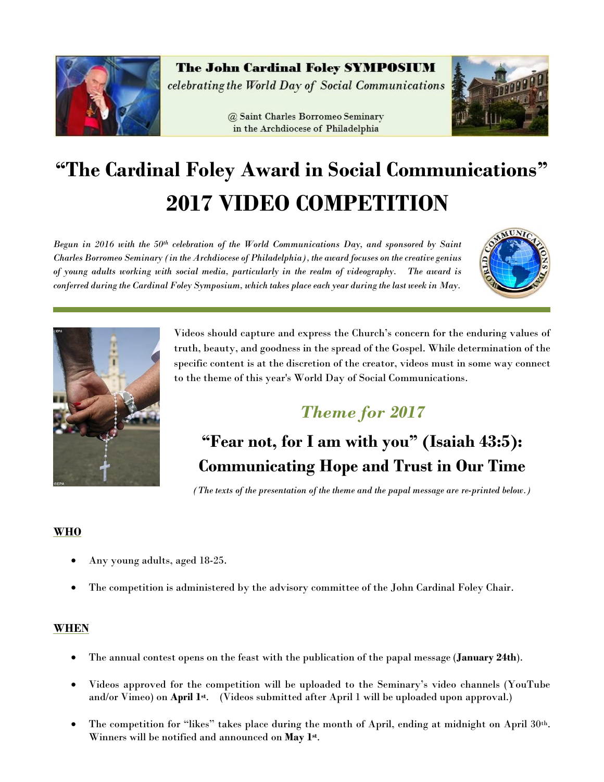

The John Cardinal Foley SYMPOSIUM celebrating the World Day of Social Communications

> @ Saint Charles Borromeo Seminary in the Archdiocese of Philadelphia



# **"The Cardinal Foley Award in Social Communications" 2017 VIDEO COMPETITION**

*Begun in 2016 with the 50th celebration of the World Communications Day, and sponsored by Saint Charles Borromeo Seminary (in the Archdiocese of Philadelphia), the award focuses on the creative genius of young adults working with social media, particularly in the realm of videography. The award is conferred during the Cardinal Foley Symposium, which takes place each year during the last week in May.*





Videos should capture and express the Church's concern for the enduring values of truth, beauty, and goodness in the spread of the Gospel. While determination of the specific content is at the discretion of the creator, videos must in some way connect to the theme of this year's World Day of Social Communications.

### *Theme for 2017*

## **"Fear not, for I am with you" (Isaiah 43:5): Communicating Hope and Trust in Our Time**

*(The texts of the presentation of the theme and the papal message are re-printed below.)*

### **WHO**

- Any young adults, aged 18-25.
- The competition is administered by the advisory committee of the John Cardinal Foley Chair.

### **WHEN**

- The annual contest opens on the feast with the publication of the papal message (**January 24th**).
- Videos approved for the competition will be uploaded to the Seminary's video channels (YouTube and/or Vimeo) on **April 1st**. (Videos submitted after April 1 will be uploaded upon approval.)
- The competition for "likes" takes place during the month of April, ending at midnight on April 30th. Winners will be notified and announced on **May 1st** .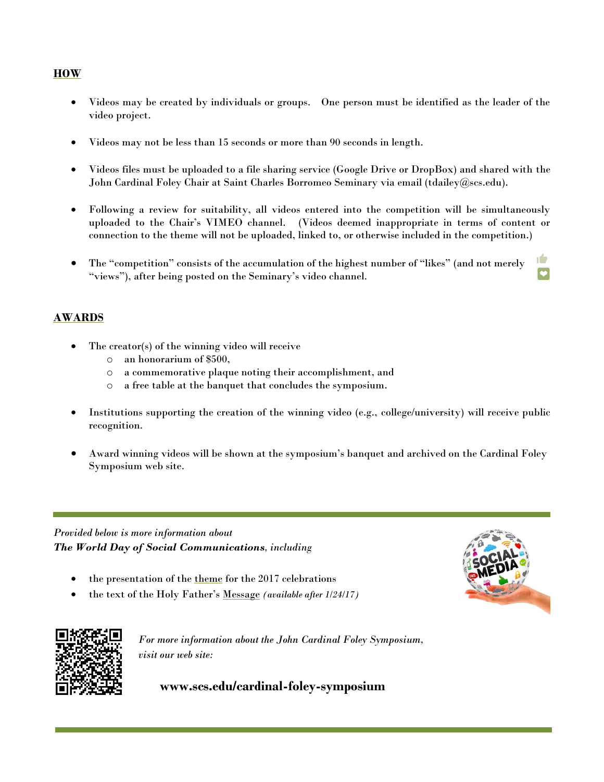### **HOW**

- Videos may be created by individuals or groups. One person must be identified as the leader of the video project.
- Videos may not be less than 15 seconds or more than 90 seconds in length.
- Videos files must be uploaded to a file sharing service (Google Drive or DropBox) and shared with the John Cardinal Foley Chair at Saint Charles Borromeo Seminary via email [\(tdailey@scs.edu\)](mailto:tdailey@scs.edu).
- Following a review for suitability, all videos entered into the competition will be simultaneously uploaded to the Chair's VIMEO channel. (Videos deemed inappropriate in terms of content or connection to the theme will not be uploaded, linked to, or otherwise included in the competition.)
- ıO The "competition" consists of the accumulation of the highest number of "likes" (and not merely "views"), after being posted on the Seminary's video channel.

### **AWARDS**

- The creator(s) of the winning video will receive
	- o an honorarium of \$500,
	- o a commemorative plaque noting their accomplishment, and
	- o a free table at the banquet that concludes the symposium.
- Institutions supporting the creation of the winning video (e.g., college/university) will receive public recognition.
- Award winning videos will be shown at the symposium's banquet and archived on the Cardinal Foley Symposium web site.

*Provided below is more information about The World Day of Social Communications, including*

- the presentation of the theme for the 2017 celebrations
- the text of the Holy Father's Message *(available after 1/24/17)*





*For more information about the John Cardinal Foley Symposium, visit our web site:*

**www.scs.edu/cardinal-foley-symposium**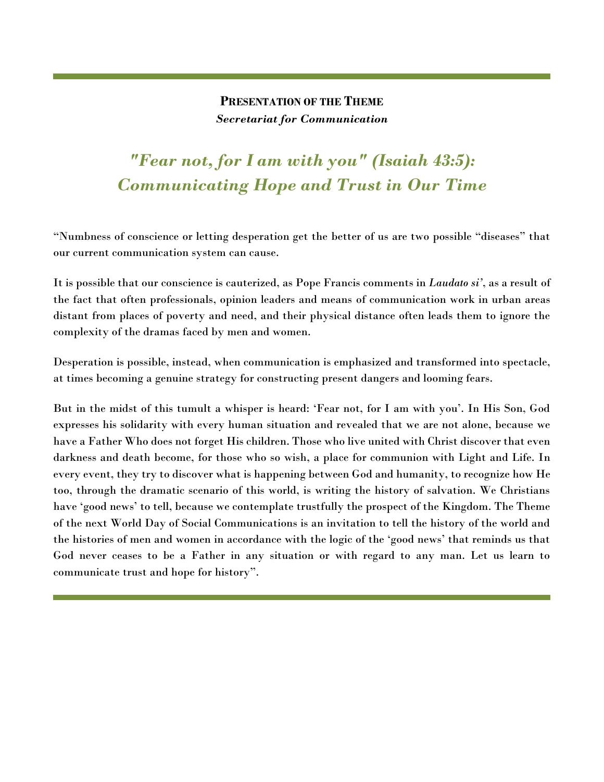### **PRESENTATION OF THE THEME** *Secretariat for Communication*

### *"Fear not, for I am with you" (Isaiah 43:5): Communicating Hope and Trust in Our Time*

"Numbness of conscience or letting desperation get the better of us are two possible "diseases" that our current communication system can cause.

It is possible that our conscience is cauterized, as Pope Francis comments in *Laudato si'*, as a result of the fact that often professionals, opinion leaders and means of communication work in urban areas distant from places of poverty and need, and their physical distance often leads them to ignore the complexity of the dramas faced by men and women.

Desperation is possible, instead, when communication is emphasized and transformed into spectacle, at times becoming a genuine strategy for constructing present dangers and looming fears.

But in the midst of this tumult a whisper is heard: 'Fear not, for I am with you'. In His Son, God expresses his solidarity with every human situation and revealed that we are not alone, because we have a Father Who does not forget His children. Those who live united with Christ discover that even darkness and death become, for those who so wish, a place for communion with Light and Life. In every event, they try to discover what is happening between God and humanity, to recognize how He too, through the dramatic scenario of this world, is writing the history of salvation. We Christians have 'good news' to tell, because we contemplate trustfully the prospect of the Kingdom. The Theme of the next World Day of Social Communications is an invitation to tell the history of the world and the histories of men and women in accordance with the logic of the 'good news' that reminds us that God never ceases to be a Father in any situation or with regard to any man. Let us learn to communicate trust and hope for history".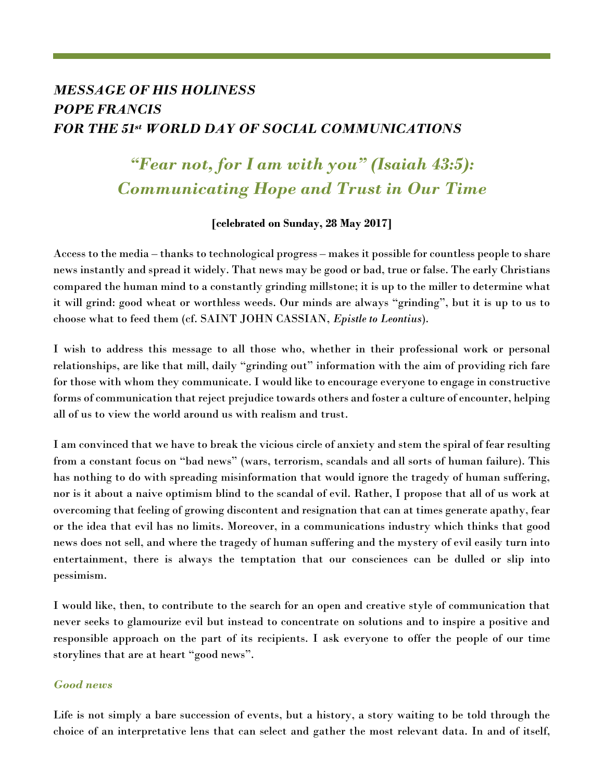### *MESSAGE OF HIS HOLINESS POPE FRANCIS FOR THE 51st WORLD DAY OF SOCIAL COMMUNICATIONS*

### *"Fear not, for I am with you" (Isaiah 43:5): Communicating Hope and Trust in Our Time*

### **[celebrated on Sunday, 28 May 2017]**

Access to the media – thanks to technological progress – makes it possible for countless people to share news instantly and spread it widely. That news may be good or bad, true or false. The early Christians compared the human mind to a constantly grinding millstone; it is up to the miller to determine what it will grind: good wheat or worthless weeds. Our minds are always "grinding", but it is up to us to choose what to feed them (cf. SAINT JOHN CASSIAN, *Epistle to Leontius*).

I wish to address this message to all those who, whether in their professional work or personal relationships, are like that mill, daily "grinding out" information with the aim of providing rich fare for those with whom they communicate. I would like to encourage everyone to engage in constructive forms of communication that reject prejudice towards others and foster a culture of encounter, helping all of us to view the world around us with realism and trust.

I am convinced that we have to break the vicious circle of anxiety and stem the spiral of fear resulting from a constant focus on "bad news" (wars, terrorism, scandals and all sorts of human failure). This has nothing to do with spreading misinformation that would ignore the tragedy of human suffering, nor is it about a naive optimism blind to the scandal of evil. Rather, I propose that all of us work at overcoming that feeling of growing discontent and resignation that can at times generate apathy, fear or the idea that evil has no limits. Moreover, in a communications industry which thinks that good news does not sell, and where the tragedy of human suffering and the mystery of evil easily turn into entertainment, there is always the temptation that our consciences can be dulled or slip into pessimism.

I would like, then, to contribute to the search for an open and creative style of communication that never seeks to glamourize evil but instead to concentrate on solutions and to inspire a positive and responsible approach on the part of its recipients. I ask everyone to offer the people of our time storylines that are at heart "good news".

### *Good news*

Life is not simply a bare succession of events, but a history, a story waiting to be told through the choice of an interpretative lens that can select and gather the most relevant data. In and of itself,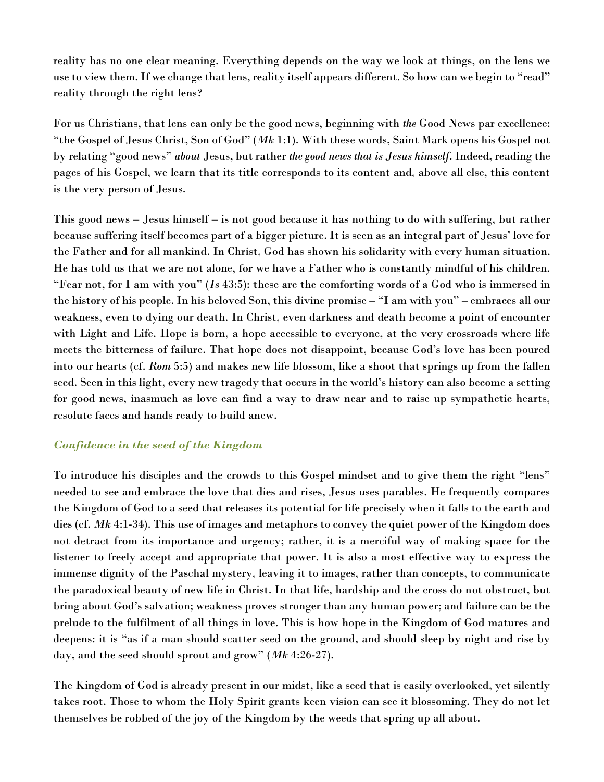reality has no one clear meaning. Everything depends on the way we look at things, on the lens we use to view them. If we change that lens, reality itself appears different. So how can we begin to "read" reality through the right lens?

For us Christians, that lens can only be the good news, beginning with *the* Good News par excellence: "the Gospel of Jesus Christ, Son of God" (*Mk* 1:1). With these words, Saint Mark opens his Gospel not by relating "good news" *about* Jesus, but rather *the good news that is Jesus himself*. Indeed, reading the pages of his Gospel, we learn that its title corresponds to its content and, above all else, this content is the very person of Jesus.

This good news – Jesus himself – is not good because it has nothing to do with suffering, but rather because suffering itself becomes part of a bigger picture. It is seen as an integral part of Jesus' love for the Father and for all mankind. In Christ, God has shown his solidarity with every human situation. He has told us that we are not alone, for we have a Father who is constantly mindful of his children. "Fear not, for I am with you" (*Is* 43:5): these are the comforting words of a God who is immersed in the history of his people. In his beloved Son, this divine promise – "I am with you" – embraces all our weakness, even to dying our death. In Christ, even darkness and death become a point of encounter with Light and Life. Hope is born, a hope accessible to everyone, at the very crossroads where life meets the bitterness of failure. That hope does not disappoint, because God's love has been poured into our hearts (cf. *Rom* 5:5) and makes new life blossom, like a shoot that springs up from the fallen seed. Seen in this light, every new tragedy that occurs in the world's history can also become a setting for good news, inasmuch as love can find a way to draw near and to raise up sympathetic hearts, resolute faces and hands ready to build anew.

### *Confidence in the seed of the Kingdom*

To introduce his disciples and the crowds to this Gospel mindset and to give them the right "lens" needed to see and embrace the love that dies and rises, Jesus uses parables. He frequently compares the Kingdom of God to a seed that releases its potential for life precisely when it falls to the earth and dies (cf. *Mk* 4:1-34). This use of images and metaphors to convey the quiet power of the Kingdom does not detract from its importance and urgency; rather, it is a merciful way of making space for the listener to freely accept and appropriate that power. It is also a most effective way to express the immense dignity of the Paschal mystery, leaving it to images, rather than concepts, to communicate the paradoxical beauty of new life in Christ. In that life, hardship and the cross do not obstruct, but bring about God's salvation; weakness proves stronger than any human power; and failure can be the prelude to the fulfilment of all things in love. This is how hope in the Kingdom of God matures and deepens: it is "as if a man should scatter seed on the ground, and should sleep by night and rise by day, and the seed should sprout and grow" (*Mk* 4:26-27).

The Kingdom of God is already present in our midst, like a seed that is easily overlooked, yet silently takes root. Those to whom the Holy Spirit grants keen vision can see it blossoming. They do not let themselves be robbed of the joy of the Kingdom by the weeds that spring up all about.